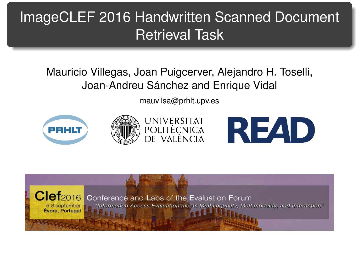# <span id="page-0-1"></span><span id="page-0-0"></span>ImageCLEF 2016 Handwritten Scanned Document Retrieval Task

#### Mauricio Villegas, Joan Puigcerver, Alejandro H. Toselli, Joan-Andreu Sánchez and Enrique Vidal

[mauvilsa@prhlt.upv.es](mailto:mauvilsa@prhlt.upv.es)







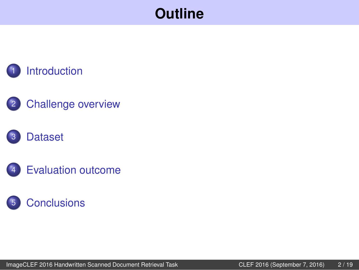



#### **[Dataset](#page-18-0)**



### **[Conclusions](#page-0-0)**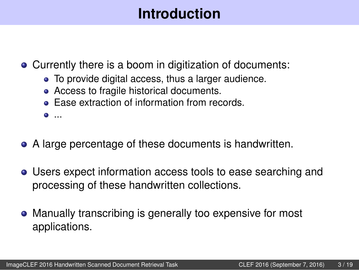# **Introduction**

<span id="page-2-0"></span>Currently there is a boom in digitization of documents:

- To provide digital access, thus a larger audience.
- Access to fragile historical documents.
- **Ease extraction of information from records.**

...

- A large percentage of these documents is handwritten.
- Users expect information access tools to ease searching and processing of these handwritten collections.
- Manually transcribing is generally too expensive for most applications.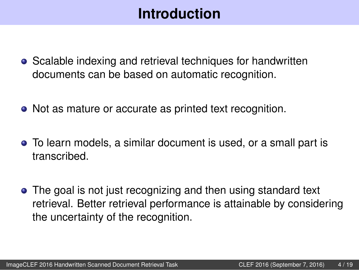# **Introduction**

- Scalable indexing and retrieval techniques for handwritten documents can be based on automatic recognition.
- Not as mature or accurate as printed text recognition.
- To learn models, a similar document is used, or a small part is transcribed.
- The goal is not just recognizing and then using standard text retrieval. Better retrieval performance is attainable by considering the uncertainty of the recognition.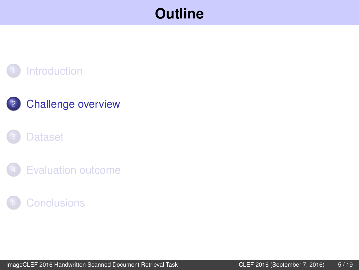#### <span id="page-4-0"></span>**[Introduction](#page-2-0)**

#### 2 [Challenge overview](#page-4-0)

#### **[Dataset](#page-18-0)**

**[Evaluation outcome](#page-21-0)** 

#### **[Conclusions](#page-0-0)**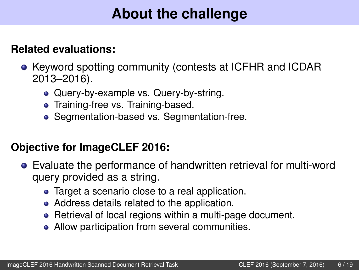# **About the challenge**

#### **Related evaluations:**

- Keyword spotting community (contests at ICFHR and ICDAR 2013–2016).
	- Query-by-example vs. Query-by-string.
	- **•** Training-free vs. Training-based.
	- Seamentation-based vs. Segmentation-free.

#### **Objective for ImageCLEF 2016:**

- Evaluate the performance of handwritten retrieval for multi-word query provided as a string.
	- Target a scenario close to a real application.
	- Address details related to the application.
	- Retrieval of local regions within a multi-page document.
	- Allow participation from several communities.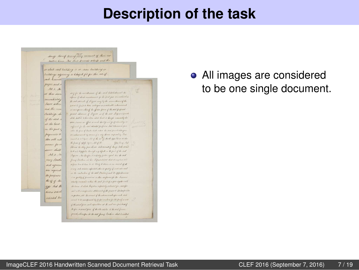change though dowing they manual of their real pective lives . Now these presents with for and the in akah said building is in some building or buildings adjoining a Chapit for for the weed and T perpos and.  $M2.5$ my for the minibirance of the med Establishment the at these overopen of obst montenance for the first year membered. .<br>immokiateta the said seconds of Arrest was by the secondaries of the Sure willing tour le fait te han antagen a contemble cahaceana and the room in an appear where of the official parce of the said proposed med down of France and the seat dispositional Briddings of Ach. diskut to have here, sided thereby it though scenarioty its of the said mon, twee in iffect a such the left in perpertancibly's at the least sufficient for the standardial property dail Warner on post on the part of ada the hours of Backs had notice the start travel and conpayments to so exhaustered to many of a dily them injured by Tree and, to act by an able of the sort of a Rock of go be in as als they with into the four of state to an ated the missin dal sain for Moses to the prestore whomself here tell seen uma shall hall as happelin through any defails in the past of the stail  $.61.3.1$ Inquire , by the fact it is heldy feeler aged that the still story Booth from Prodice oil for Repairding that strong two in a few low is tree less their testimonic or morel of all sent aguem or any such activities exhausted sales are specificy of south such states ans requires in the construction of the said Distribution and the officed common the parpenses con quilify produces a cher maturist fu the Science the of if the aturly consider within the stat form of a goes top the seth gp And A. the team of which they are superiorly industed for , accept pair with a composation stations of of the process of the her family divers sitects in gradine, and the second of the inharmonist separated such interneted for second to be assemptioned by forfree resolvent for the feetf or well of the actual froist, and infunctions at the said twin procedured Seper reasonal pain of the the septer at the seal former. prod, descripe to the set formy trading date to citated

#### All images are considered to be one single document.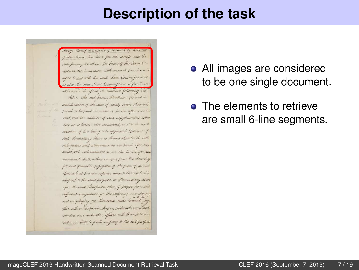hange thereof dering overy inconent of the pectore tives, New these presents with for and the said forency Bentham for himself his hirs Ed autors, Administrators doth arenant premise and agree to and with the said Lords Commissioners as also the said Lords Commitsioners for them schoos and Juneform in manner following me. Art 1. The said forcing Boothum, for and in consideration of the sum of wordy seven thousand peand to be paid in manner herein after ments and with the addition of stack supplemental allow ance as is herein also mentioned, as also in course deration of his being to be appended Optioner of such Senitentiary Hense or Houses when built with such powers and allowances as are herein after men tioned, with such remainders as one also herein after ain mentioned shall, within one year from his eltaming full and paucable position of the piece of ground aferconid at his even expense cause to be viriled and adapted to the said purpose a Tenientiary House upon the said Sancplicon John, of proper form and sufficient magnitude for the confinency maintaining and employing one thousand male Convicts tog Har with a Chaplain, Suyer, Tackmasher or School muster and such other Officers with their subsects nates as shall be found necessary to the said purpose

- All images are considered to be one single document.
- **o** The elements to retrieve are small 6-line segments.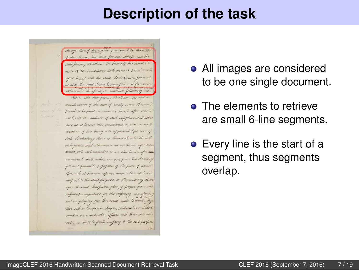change thereof daning every moment of their repective lives , Now these presents with for and the said forency Beatham for himself his hirs Ed couters & Administrators doth arenant premise an agree to and with the said Lords Commissioners as also the said Lords Commitsioners for their

Art 1. The said forcing Bentham, for and consideration of the sum of wordy seven thousand pound to be paid in manner, herein after mente end, with the addition of such supplemental allow ance as is herein also mentioned, as also in court devaluen of his being to be appointed Optioner of such Senitenhary Hense or Houses when built with such powers and attenumes as me herein after mentioned, with such umanitous as we also furtion after can mentioned shall, within one year from his el taming full and puscable pepopuon of the puse of grown apresaid at his can expense cause to be virted and adapted to the said purpose a Penientiary House upon the said Sunoption plan, of proper form and sufficient magnitude for the confining maintains and employing one thousand male Convicts log Har with a Chaplain, Surger, Tackmasher or School muster and such other Officers with their subcode nates as shall be found necessary to the said purpose

- All images are considered to be one single document.
- **o** The elements to retrieve are small 6-line segments.
- Every line is the start of a segment, thus segments overlap.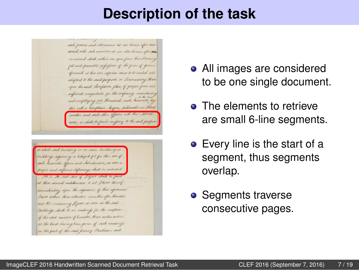such powers and attenumes as are herein after mentiened, with such remainders as are also herein after air mentioned shall, within one year from his el taining full and purceable position of the piece of grown apressaid at his own expence cause to be creeted and adapted to the said purpose a Pendentiary House upon the said Sancption John, of proper form and sufficient magnetude for the confinency maintains and employing one thousand male Convicts top Har with a Chaplain, Surgeon, Takmasher or Siked master and such other Officers with their submite nates as shall be found necessary to the said parfum



- All images are considered to be one single document.
- **o** The elements to retrieve are small 6-line segments.
- Every line is the start of a segment, thus segments overlap.
- Segments traverse consecutive pages.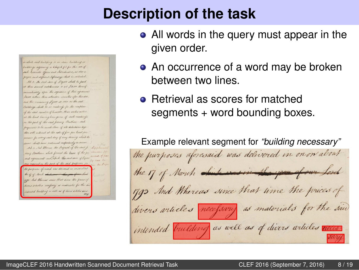in abith said building is in some building or buildings adjoining a Chapel for for the set of such Convicts officers and Adventisated, as olds a prepar and sufficient Sufermany shall be included Ast. 2. The send sum of Degree shall be paid at three meral installments is oit J.B.co thereof immediately upon the superiors of this agramsed Super within these saturday, secretive after this date and the remaining Lycer is seen as the said Britaings shall be in audinity for the mapters of the said number of Consider, three works notice at the least baring been given of such readings on the part of the said formy Brutham: auch payments to be made clave of all deductions trye ther with interest at the rate of five per bent per summ for very such day if any daring which the same shall have tenteneed respectively in series Art. 3. And Mercure the Proposal of the said for story Busthern which formed the basis of the p stat agreement and which the said sum of Syste the parposes of marked was delivered in course about the of of North which was in the gas of our hand ggs And Abercas since that time the prices of divers orticles neapony is materials for the sen intended building as well or of divers with this caus-

- All words in the query must appear in the given order.
- An occurrence of a word may be broken between two lines.
- Retrieval as scores for matched segments + word bounding boxes.

Example relevant segment for *"building necessary"* the 17 of North western the year of our Lord 1793 And Whereas since that time the prices of divers articles necessary as materials for the saw intended building as well as of divers articles we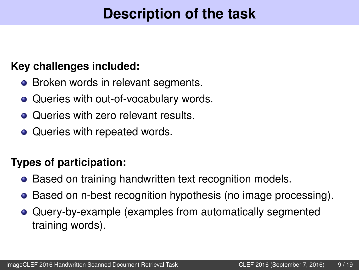#### **Key challenges included:**

- Broken words in relevant segments.
- Queries with out-of-vocabulary words.
- Oueries with zero relevant results.
- Queries with repeated words.

#### **Types of participation:**

- Based on training handwritten text recognition models.
- Based on n-best recognition hypothesis (no image processing).
- Query-by-example (examples from automatically segmented training words).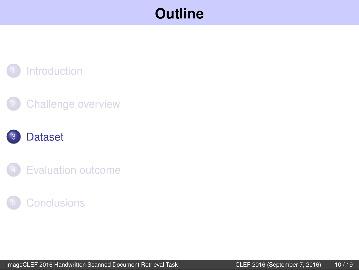#### **[Introduction](#page-2-0)**

#### **[Challenge overview](#page-4-0)**

#### **[Dataset](#page-18-0)**

**[Evaluation outcome](#page-21-0)** 

#### **[Conclusions](#page-0-0)**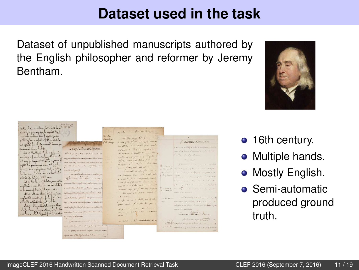[ImageCLEF 2016 Handwritten Scanned Document Retrieval Task](#page-0-1) CLEF 2016 (September 7, 2016) 11 / 19

#### **Dataset used in the task**

Dataset of unpublished manuscripts authored by the English philosopher and reformer by Jeremy Bentham.



- Multiple hands.
- **Mostly English.**
- **•** Semi-automatic produced ground truth.



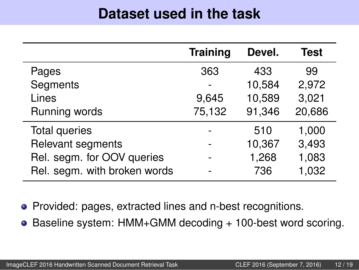### **Dataset used in the task**

|                              | <b>Training</b> | Devel. | <b>Test</b> |
|------------------------------|-----------------|--------|-------------|
| Pages                        | 363             | 433    | 99          |
| Segments                     |                 | 10,584 | 2,972       |
| Lines                        | 9,645           | 10,589 | 3,021       |
| Running words                | 75,132          | 91,346 | 20,686      |
| Total queries                |                 | 510    | 1,000       |
| Relevant segments            |                 | 10,367 | 3,493       |
| Rel. segm. for OOV queries   |                 | 1,268  | 1,083       |
| Rel. segm. with broken words |                 | 736    | 1,032       |

• Provided: pages, extracted lines and n-best recognitions.

● Baseline system: HMM+GMM decoding + 100-best word scoring.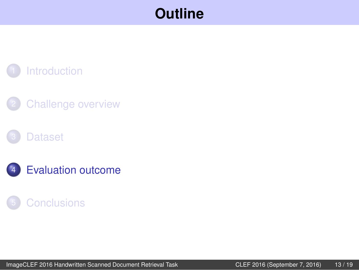#### **[Introduction](#page-2-0)**

**[Challenge overview](#page-4-0)** 

#### **[Dataset](#page-18-0)**

**[Evaluation outcome](#page-21-0)** 

#### **[Conclusions](#page-0-0)**

[ImageCLEF 2016 Handwritten Scanned Document Retrieval Task](#page-0-1) CLEF 2016 (September 7, 2016) 13 / 19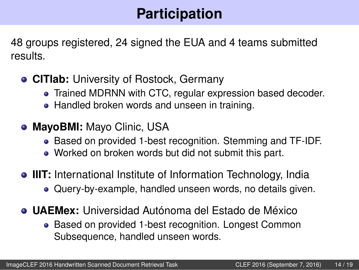# **Participation**

48 groups registered, 24 signed the EUA and 4 teams submitted results.

- **CITlab:** University of Rostock, Germany
	- Trained MDRNN with CTC, regular expression based decoder.
	- Handled broken words and unseen in training.
- **MayoBMI:** Mayo Clinic, USA
	- Based on provided 1-best recognition. Stemming and TF-IDF.
	- Worked on broken words but did not submit this part.
- **IIIT:** International Institute of Information Technology, India Query-by-example, handled unseen words, no details given.
- **UAEMex:** Universidad Autónoma del Estado de México
	- Based on provided 1-best recognition. Longest Common Subsequence, handled unseen words.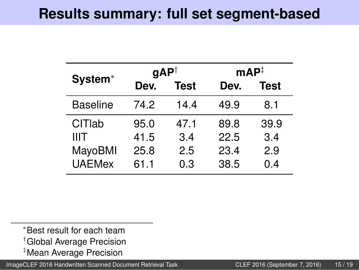### **Results summary: full set segment-based**

| System <sup>*</sup> | $gAP^{\dagger}$ |             |      | $\mathsf{mAP}^{\ddagger}$ |  |
|---------------------|-----------------|-------------|------|---------------------------|--|
|                     | Dev.            | <b>Test</b> | Dev. | <b>Test</b>               |  |
| <b>Baseline</b>     | 74.2            | 14.4        | 49.9 | 8.1                       |  |
| <b>CITIab</b>       | 95.0            | 47.1        | 89.8 | 39.9                      |  |
| IIIT                | 41.5            | 3.4         | 22.5 | 3.4                       |  |
| MayoBMI             | 25.8            | 2.5         | 23.4 | 2.9                       |  |
| <b>UAEMex</b>       | 61.1            | 0.3         | 38.5 | 0.4                       |  |

<sup>∗</sup>Best result for each team †Global Average Precision ‡Mean Average Precision

[ImageCLEF 2016 Handwritten Scanned Document Retrieval Task](#page-0-1) CLEF 2016 (September 7, 2016) 15 / 19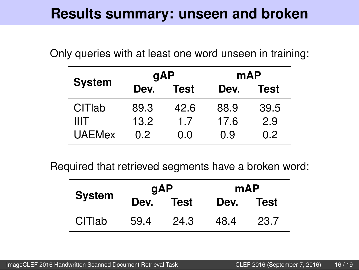<span id="page-18-0"></span>Only queries with at least one word unseen in training:

| <b>System</b> | gAP  |             | mAP  |      |
|---------------|------|-------------|------|------|
|               | Dev. | <b>Test</b> | Dev. | Test |
| CITIab        | 89.3 | 42.6        | 88.9 | 39.5 |
| <b>IIIT</b>   | 13.2 | 1.7         | 17.6 | 2.9  |
| <b>UAEMex</b> | 0.2  | n n         | 0.9  | 0.2  |

Required that retrieved segments have a broken word:

| <b>System</b> | <b>gAP</b> |      | mAP  |      |
|---------------|------------|------|------|------|
|               | Dev.       | Test | Dev. | Test |
| CITIab        | 59.4       | 24.3 | 48.4 | 23.7 |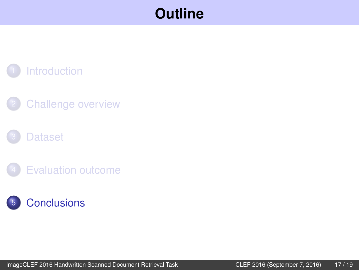#### **[Introduction](#page-2-0)**

**[Challenge overview](#page-4-0)** 

#### **[Dataset](#page-18-0)**

**[Evaluation outcome](#page-21-0)** 

### **[Conclusions](#page-0-0)**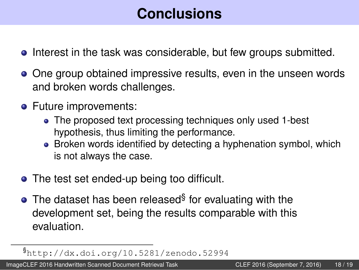# **Conclusions**

- **•** Interest in the task was considerable, but few groups submitted.
- One group obtained impressive results, even in the unseen words and broken words challenges.
- Future improvements:
	- The proposed text processing techniques only used 1-best hypothesis, thus limiting the performance.
	- Broken words identified by detecting a hyphenation symbol, which is not always the case.
- The test set ended-up being too difficult.
- The dataset has been released $\S$  for evaluating with the development set, being the results comparable with this evaluation.

[ImageCLEF 2016 Handwritten Scanned Document Retrieval Task](#page-0-1) CLEF 2016 (September 7, 2016) 18 / 19

<sup>§</sup><http://dx.doi.org/10.5281/zenodo.52994>